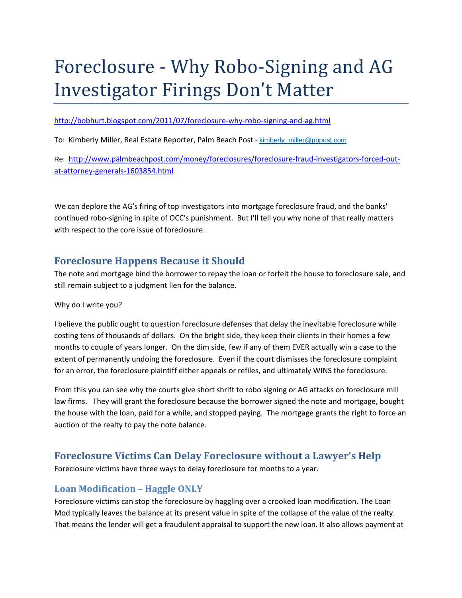# Foreclosure - Why Robo-Signing and AG Investigator Firings Don't Matter

#### http://bobhurt.blogspot.com/2011/07/foreclosure-why-robo-signing-and-ag.html

To: Kimberly Miller, Real Estate Reporter, Palm Beach Post - kimberly\_miller@pbpost.com

Re: http://www.palmbeachpost.com/money/foreclosures/foreclosure-fraud-investigators-forced-outat‐attorney‐generals‐1603854.html

We can deplore the AG's firing of top investigators into mortgage foreclosure fraud, and the banks' continued robo‐signing in spite of OCC's punishment. But I'll tell you why none of that really matters with respect to the core issue of foreclosure.

# **Foreclosure Happens Because it Should**

The note and mortgage bind the borrower to repay the loan or forfeit the house to foreclosure sale, and still remain subject to a judgment lien for the balance.

#### Why do I write you?

I believe the public ought to question foreclosure defenses that delay the inevitable foreclosure while costing tens of thousands of dollars. On the bright side, they keep their clients in their homes a few months to couple of years longer. On the dim side, few if any of them EVER actually win a case to the extent of permanently undoing the foreclosure. Even if the court dismisses the foreclosure complaint for an error, the foreclosure plaintiff either appeals or refiles, and ultimately WINS the foreclosure.

From this you can see why the courts give short shrift to robo signing or AG attacks on foreclosure mill law firms. They will grant the foreclosure because the borrower signed the note and mortgage, bought the house with the loan, paid for a while, and stopped paying. The mortgage grants the right to force an auction of the realty to pay the note balance.

# **Foreclosure Victims Can Delay Foreclosure without a Lawyer's Help**

Foreclosure victims have three ways to delay foreclosure for months to a year.

#### **Loan Modification – Haggle ONLY**

Foreclosure victims can stop the foreclosure by haggling over a crooked loan modification. The Loan Mod typically leaves the balance at its present value in spite of the collapse of the value of the realty. That means the lender will get a fraudulent appraisal to support the new loan. It also allows payment at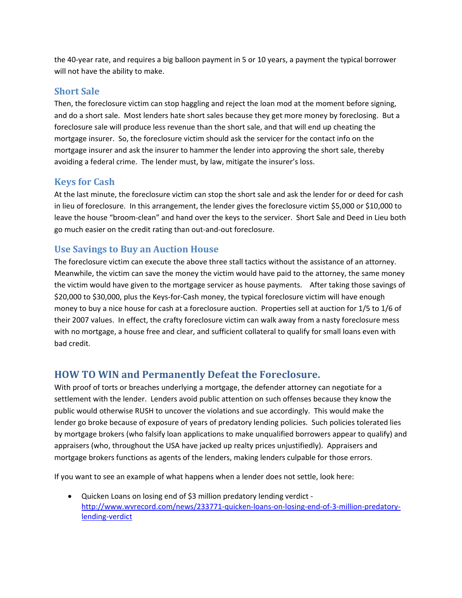the 40‐year rate, and requires a big balloon payment in 5 or 10 years, a payment the typical borrower will not have the ability to make.

#### **Short Sale**

Then, the foreclosure victim can stop haggling and reject the loan mod at the moment before signing, and do a short sale. Most lenders hate short sales because they get more money by foreclosing. But a foreclosure sale will produce less revenue than the short sale, and that will end up cheating the mortgage insurer. So, the foreclosure victim should ask the servicer for the contact info on the mortgage insurer and ask the insurer to hammer the lender into approving the short sale, thereby avoiding a federal crime. The lender must, by law, mitigate the insurer's loss.

#### **Keys for Cash**

At the last minute, the foreclosure victim can stop the short sale and ask the lender for or deed for cash in lieu of foreclosure. In this arrangement, the lender gives the foreclosure victim \$5,000 or \$10,000 to leave the house "broom‐clean" and hand over the keys to the servicer. Short Sale and Deed in Lieu both go much easier on the credit rating than out‐and‐out foreclosure.

#### **Use Savings to Buy an Auction House**

The foreclosure victim can execute the above three stall tactics without the assistance of an attorney. Meanwhile, the victim can save the money the victim would have paid to the attorney, the same money the victim would have given to the mortgage servicer as house payments. After taking those savings of \$20,000 to \$30,000, plus the Keys‐for‐Cash money, the typical foreclosure victim will have enough money to buy a nice house for cash at a foreclosure auction. Properties sell at auction for 1/5 to 1/6 of their 2007 values. In effect, the crafty foreclosure victim can walk away from a nasty foreclosure mess with no mortgage, a house free and clear, and sufficient collateral to qualify for small loans even with bad credit.

## **HOW TO WIN and Permanently Defeat the Foreclosure.**

With proof of torts or breaches underlying a mortgage, the defender attorney can negotiate for a settlement with the lender. Lenders avoid public attention on such offenses because they know the public would otherwise RUSH to uncover the violations and sue accordingly. This would make the lender go broke because of exposure of years of predatory lending policies. Such policies tolerated lies by mortgage brokers (who falsify loan applications to make unqualified borrowers appear to qualify) and appraisers (who, throughout the USA have jacked up realty prices unjustifiedly). Appraisers and mortgage brokers functions as agents of the lenders, making lenders culpable for those errors.

If you want to see an example of what happens when a lender does not settle, look here:

● Quicken Loans on losing end of \$3 million predatory lending verdict – http://www.wvrecord.com/news/233771-quicken-loans-on-losing-end-of-3-million-predatorylending‐verdict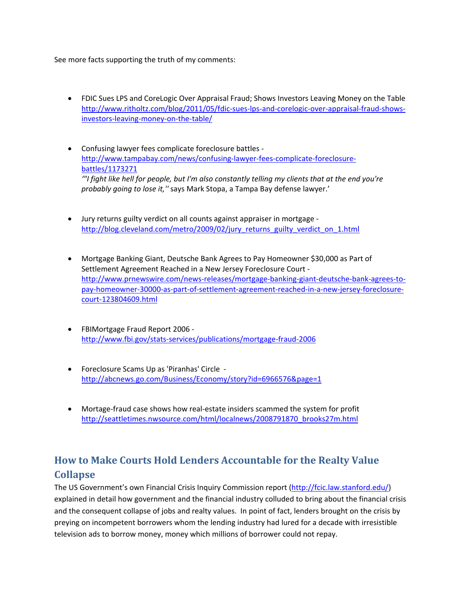See more facts supporting the truth of my comments:

- FDIC Sues LPS and CoreLogic Over Appraisal Fraud; Shows Investors Leaving Money on the Table http://www.ritholtz.com/blog/2011/05/fdic-sues-lps-and-corelogic-over-appraisal-fraud-showsinvestors‐leaving‐money‐on‐the‐table/
- Confusing lawyer fees complicate foreclosure battles ‐ http://www.tampabay.com/news/confusing-lawyer-fees-complicate-foreclosurebattles/1173271 *'"I fight like hell for people, but I'm also constantly telling my clients that at the end you're probably going to lose it,''* says Mark Stopa, a Tampa Bay defense lawyer.'
- Jury returns guilty verdict on all counts against appraiser in mortgage ‐ http://blog.cleveland.com/metro/2009/02/jury\_returns\_guilty\_verdict\_on\_1.html
- Mortgage Banking Giant, Deutsche Bank Agrees to Pay Homeowner \$30,000 as Part of Settlement Agreement Reached in a New Jersey Foreclosure Court ‐ http://www.prnewswire.com/news‐releases/mortgage‐banking‐giant‐deutsche‐bank‐agrees‐to‐ pay‐homeowner‐30000‐as‐part‐of‐settlement‐agreement‐reached‐in‐a‐new‐jersey‐foreclosure‐ court‐123804609.html
- FBIMortgage Fraud Report 2006 ‐ http://www.fbi.gov/stats‐services/publications/mortgage‐fraud‐2006
- Foreclosure Scams Up as 'Piranhas' Circle ‐ http://abcnews.go.com/Business/Economy/story?id=6966576&page=1
- Mortage-fraud case shows how real-estate insiders scammed the system for profit http://seattletimes.nwsource.com/html/localnews/2008791870\_brooks27m.html

# **How to Make Courts Hold Lenders Accountable for the Realty Value Collapse**

The US Government's own Financial Crisis Inquiry Commission report (http://fcic.law.stanford.edu/) explained in detail how government and the financial industry colluded to bring about the financial crisis and the consequent collapse of jobs and realty values. In point of fact, lenders brought on the crisis by preying on incompetent borrowers whom the lending industry had lured for a decade with irresistible television ads to borrow money, money which millions of borrower could not repay.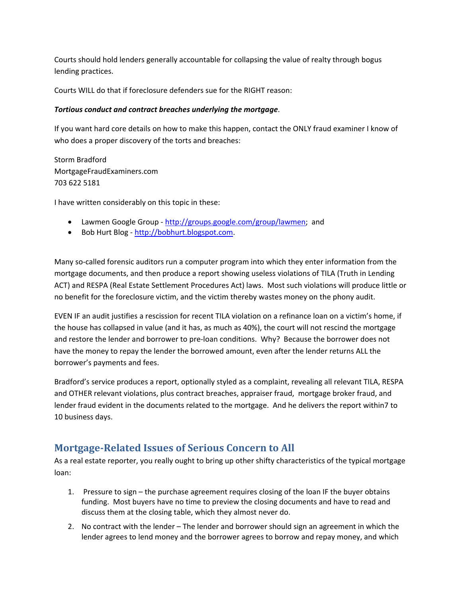Courts should hold lenders generally accountable for collapsing the value of realty through bogus lending practices.

Courts WILL do that if foreclosure defenders sue for the RIGHT reason:

#### *Tortious conduct and contract breaches underlying the mortgage*.

If you want hard core details on how to make this happen, contact the ONLY fraud examiner I know of who does a proper discovery of the torts and breaches:

Storm Bradford MortgageFraudExaminers.com 703 622 5181

I have written considerably on this topic in these:

- Lawmen Google Group http://groups.google.com/group/lawmen; and
- Bob Hurt Blog http://bobhurt.blogspot.com.

Many so-called forensic auditors run a computer program into which they enter information from the mortgage documents, and then produce a report showing useless violations of TILA (Truth in Lending ACT) and RESPA (Real Estate Settlement Procedures Act) laws. Most such violations will produce little or no benefit for the foreclosure victim, and the victim thereby wastes money on the phony audit.

EVEN IF an audit justifies a rescission for recent TILA violation on a refinance loan on a victim's home, if the house has collapsed in value (and it has, as much as 40%), the court will not rescind the mortgage and restore the lender and borrower to pre‐loan conditions. Why? Because the borrower does not have the money to repay the lender the borrowed amount, even after the lender returns ALL the borrower's payments and fees.

Bradford's service produces a report, optionally styled as a complaint, revealing all relevant TILA, RESPA and OTHER relevant violations, plus contract breaches, appraiser fraud, mortgage broker fraud, and lender fraud evident in the documents related to the mortgage. And he delivers the report within7 to 10 business days.

# **Mortgage‐Related Issues of Serious Concern to All**

As a real estate reporter, you really ought to bring up other shifty characteristics of the typical mortgage loan:

- 1. Pressure to sign the purchase agreement requires closing of the loan IF the buyer obtains funding. Most buyers have no time to preview the closing documents and have to read and discuss them at the closing table, which they almost never do.
- 2. No contract with the lender The lender and borrower should sign an agreement in which the lender agrees to lend money and the borrower agrees to borrow and repay money, and which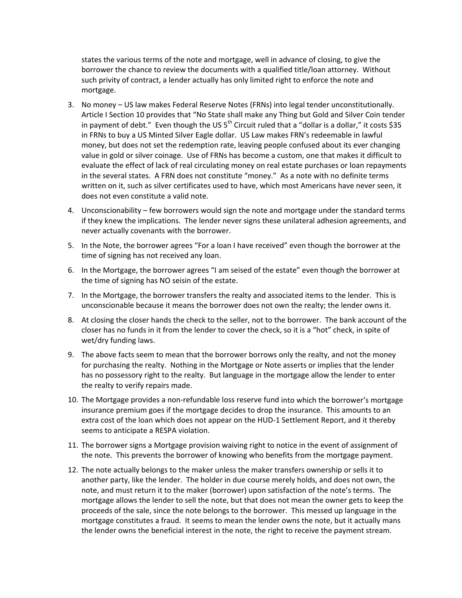states the various terms of the note and mortgage, well in advance of closing, to give the borrower the chance to review the documents with a qualified title/loan attorney. Without such privity of contract, a lender actually has only limited right to enforce the note and mortgage.

- 3. No money US law makes Federal Reserve Notes (FRNs) into legal tender unconstitutionally. Article I Section 10 provides that "No State shall make any Thing but Gold and Silver Coin tender in payment of debt." Even though the US  $5<sup>th</sup>$  Circuit ruled that a "dollar is a dollar," it costs \$35 in FRNs to buy a US Minted Silver Eagle dollar. US Law makes FRN's redeemable in lawful money, but does not set the redemption rate, leaving people confused about its ever changing value in gold or silver coinage. Use of FRNs has become a custom, one that makes it difficult to evaluate the effect of lack of real circulating money on real estate purchases or loan repayments in the several states. A FRN does not constitute "money." As a note with no definite terms written on it, such as silver certificates used to have, which most Americans have never seen, it does not even constitute a valid note.
- 4. Unconscionability few borrowers would sign the note and mortgage under the standard terms if they knew the implications. The lender never signs these unilateral adhesion agreements, and never actually covenants with the borrower.
- 5. In the Note, the borrower agrees "For a loan I have received" even though the borrower at the time of signing has not received any loan.
- 6. In the Mortgage, the borrower agrees "I am seised of the estate" even though the borrower at the time of signing has NO seisin of the estate.
- 7. In the Mortgage, the borrower transfers the realty and associated items to the lender. This is unconscionable because it means the borrower does not own the realty; the lender owns it.
- 8. At closing the closer hands the check to the seller, not to the borrower. The bank account of the closer has no funds in it from the lender to cover the check, so it is a "hot" check, in spite of wet/dry funding laws.
- 9. The above facts seem to mean that the borrower borrows only the realty, and not the money for purchasing the realty. Nothing in the Mortgage or Note asserts or implies that the lender has no possessory right to the realty. But language in the mortgage allow the lender to enter the realty to verify repairs made.
- 10. The Mortgage provides a non‐refundable loss reserve fund into which the borrower's mortgage insurance premium goes if the mortgage decides to drop the insurance. This amounts to an extra cost of the loan which does not appear on the HUD‐1 Settlement Report, and it thereby seems to anticipate a RESPA violation.
- 11. The borrower signs a Mortgage provision waiving right to notice in the event of assignment of the note. This prevents the borrower of knowing who benefits from the mortgage payment.
- 12. The note actually belongs to the maker unless the maker transfers ownership or sells it to another party, like the lender. The holder in due course merely holds, and does not own, the note, and must return it to the maker (borrower) upon satisfaction of the note's terms. The mortgage allows the lender to sell the note, but that does not mean the owner gets to keep the proceeds of the sale, since the note belongs to the borrower. This messed up language in the mortgage constitutes a fraud. It seems to mean the lender owns the note, but it actually mans the lender owns the beneficial interest in the note, the right to receive the payment stream.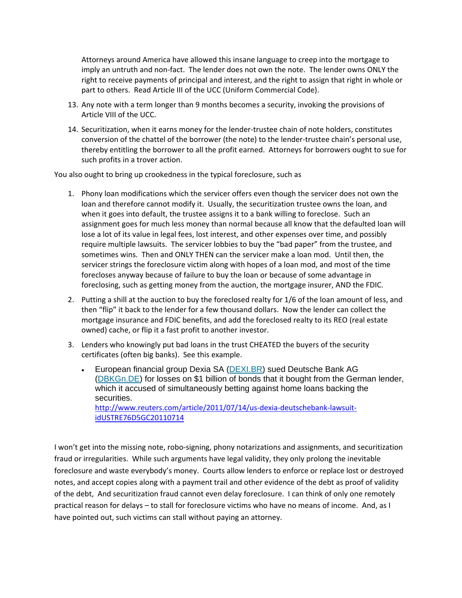Attorneys around America have allowed this insane language to creep into the mortgage to imply an untruth and non-fact. The lender does not own the note. The lender owns ONLY the right to receive payments of principal and interest, and the right to assign that right in whole or part to others. Read Article III of the UCC (Uniform Commercial Code).

- 13. Any note with a term longer than 9 months becomes a security, invoking the provisions of Article VIII of the UCC.
- 14. Securitization, when it earns money for the lender‐trustee chain of note holders, constitutes conversion of the chattel of the borrower (the note) to the lender‐trustee chain's personal use, thereby entitling the borrower to all the profit earned. Attorneys for borrowers ought to sue for such profits in a trover action.

You also ought to bring up crookedness in the typical foreclosure, such as

- 1. Phony loan modifications which the servicer offers even though the servicer does not own the loan and therefore cannot modify it. Usually, the securitization trustee owns the loan, and when it goes into default, the trustee assigns it to a bank willing to foreclose. Such an assignment goes for much less money than normal because all know that the defaulted loan will lose a lot of its value in legal fees, lost interest, and other expenses over time, and possibly require multiple lawsuits. The servicer lobbies to buy the "bad paper" from the trustee, and sometimes wins. Then and ONLY THEN can the servicer make a loan mod. Until then, the servicer strings the foreclosure victim along with hopes of a loan mod, and most of the time forecloses anyway because of failure to buy the loan or because of some advantage in foreclosing, such as getting money from the auction, the mortgage insurer, AND the FDIC.
- 2. Putting a shill at the auction to buy the foreclosed realty for 1/6 of the loan amount of less, and then "flip" it back to the lender for a few thousand dollars. Now the lender can collect the mortgage insurance and FDIC benefits, and add the foreclosed realty to its REO (real estate owned) cache, or flip it a fast profit to another investor.
- 3. Lenders who knowingly put bad loans in the trust CHEATED the buyers of the security certificates (often big banks). See this example.
	- **European financial group Dexia SA (DEXI.BR) sued Deutsche Bank AG** (DBKGn.DE) for losses on \$1 billion of bonds that it bought from the German lender, which it accused of simultaneously betting against home loans backing the securities. http://www.reuters.com/article/2011/07/14/us‐dexia‐deutschebank‐lawsuit‐ idUSTRE76D5GC20110714

I won't get into the missing note, robo‐signing, phony notarizations and assignments, and securitization fraud or irregularities. While such arguments have legal validity, they only prolong the inevitable foreclosure and waste everybody's money. Courts allow lenders to enforce or replace lost or destroyed notes, and accept copies along with a payment trail and other evidence of the debt as proof of validity of the debt, And securitization fraud cannot even delay foreclosure. I can think of only one remotely practical reason for delays – to stall for foreclosure victims who have no means of income. And, as I have pointed out, such victims can stall without paying an attorney.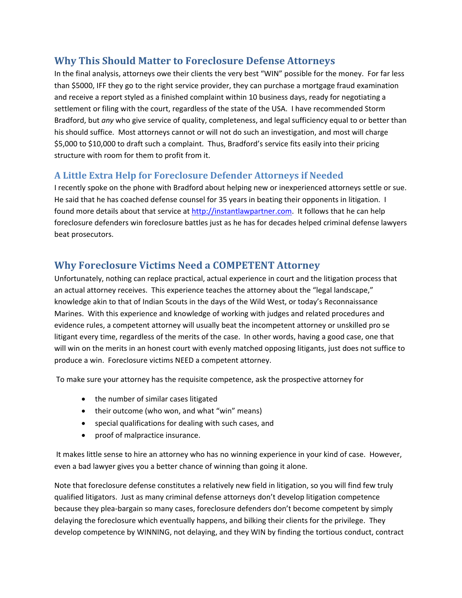# **Why This Should Matter to Foreclosure Defense Attorneys**

In the final analysis, attorneys owe their clients the very best "WIN" possible for the money. For far less than \$5000, IFF they go to the right service provider, they can purchase a mortgage fraud examination and receive a report styled as a finished complaint within 10 business days, ready for negotiating a settlement or filing with the court, regardless of the state of the USA. I have recommended Storm Bradford, but *any* who give service of quality, completeness, and legal sufficiency equal to or better than his should suffice. Most attorneys cannot or will not do such an investigation, and most will charge \$5,000 to \$10,000 to draft such a complaint. Thus, Bradford's service fits easily into their pricing structure with room for them to profit from it.

#### **A Little Extra Help for Foreclosure Defender Attorneys if Needed**

I recently spoke on the phone with Bradford about helping new or inexperienced attorneys settle or sue. He said that he has coached defense counsel for 35 years in beating their opponents in litigation. I found more details about that service at http://instantlawpartner.com. It follows that he can help foreclosure defenders win foreclosure battles just as he has for decades helped criminal defense lawyers beat prosecutors.

## **Why Foreclosure Victims Need a COMPETENT Attorney**

Unfortunately, nothing can replace practical, actual experience in court and the litigation process that an actual attorney receives. This experience teaches the attorney about the "legal landscape," knowledge akin to that of Indian Scouts in the days of the Wild West, or today's Reconnaissance Marines. With this experience and knowledge of working with judges and related procedures and evidence rules, a competent attorney will usually beat the incompetent attorney or unskilled pro se litigant every time, regardless of the merits of the case. In other words, having a good case, one that will win on the merits in an honest court with evenly matched opposing litigants, just does not suffice to produce a win. Foreclosure victims NEED a competent attorney.

To make sure your attorney has the requisite competence, ask the prospective attorney for

- the number of similar cases litigated
- their outcome (who won, and what "win" means)
- special qualifications for dealing with such cases, and
- proof of malpractice insurance.

It makes little sense to hire an attorney who has no winning experience in your kind of case. However, even a bad lawyer gives you a better chance of winning than going it alone.

Note that foreclosure defense constitutes a relatively new field in litigation, so you will find few truly qualified litigators. Just as many criminal defense attorneys don't develop litigation competence because they plea‐bargain so many cases, foreclosure defenders don't become competent by simply delaying the foreclosure which eventually happens, and bilking their clients for the privilege. They develop competence by WINNING, not delaying, and they WIN by finding the tortious conduct, contract